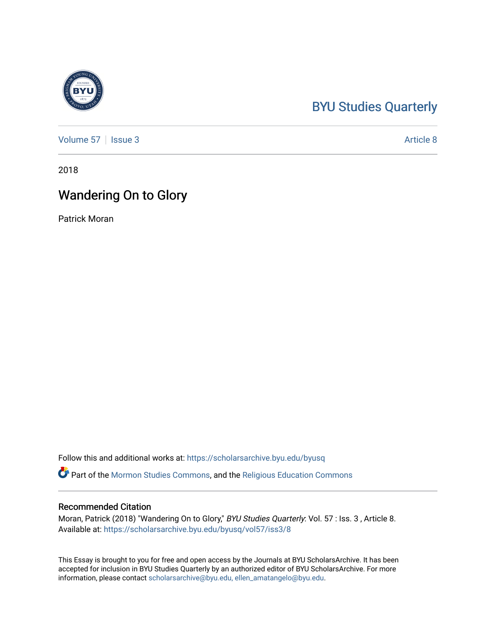## [BYU Studies Quarterly](https://scholarsarchive.byu.edu/byusq)

[Volume 57](https://scholarsarchive.byu.edu/byusq/vol57) | [Issue 3](https://scholarsarchive.byu.edu/byusq/vol57/iss3) Article 8

2018

## Wandering On to Glory

Patrick Moran

Follow this and additional works at: [https://scholarsarchive.byu.edu/byusq](https://scholarsarchive.byu.edu/byusq?utm_source=scholarsarchive.byu.edu%2Fbyusq%2Fvol57%2Fiss3%2F8&utm_medium=PDF&utm_campaign=PDFCoverPages) 

Part of the [Mormon Studies Commons](http://network.bepress.com/hgg/discipline/1360?utm_source=scholarsarchive.byu.edu%2Fbyusq%2Fvol57%2Fiss3%2F8&utm_medium=PDF&utm_campaign=PDFCoverPages), and the [Religious Education Commons](http://network.bepress.com/hgg/discipline/1414?utm_source=scholarsarchive.byu.edu%2Fbyusq%2Fvol57%2Fiss3%2F8&utm_medium=PDF&utm_campaign=PDFCoverPages) 

## Recommended Citation

Moran, Patrick (2018) "Wandering On to Glory," BYU Studies Quarterly: Vol. 57 : Iss. 3 , Article 8. Available at: [https://scholarsarchive.byu.edu/byusq/vol57/iss3/8](https://scholarsarchive.byu.edu/byusq/vol57/iss3/8?utm_source=scholarsarchive.byu.edu%2Fbyusq%2Fvol57%2Fiss3%2F8&utm_medium=PDF&utm_campaign=PDFCoverPages)

This Essay is brought to you for free and open access by the Journals at BYU ScholarsArchive. It has been accepted for inclusion in BYU Studies Quarterly by an authorized editor of BYU ScholarsArchive. For more information, please contact [scholarsarchive@byu.edu, ellen\\_amatangelo@byu.edu.](mailto:scholarsarchive@byu.edu,%20ellen_amatangelo@byu.edu)

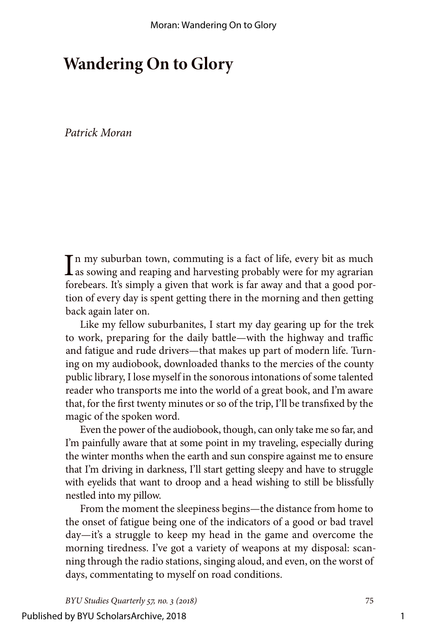## **Wandering On to Glory**

*Patrick Moran*

In my suburban town, commuting is a fact of life, every bit as much<br>as sowing and reaping and harvesting probably were for my agrarian as sowing and reaping and harvesting probably were for my agrarian forebears. It's simply a given that work is far away and that a good portion of every day is spent getting there in the morning and then getting back again later on.

Like my fellow suburbanites, I start my day gearing up for the trek to work, preparing for the daily battle—with the highway and traffic and fatigue and rude drivers—that makes up part of modern life. Turning on my audiobook, downloaded thanks to the mercies of the county public library, I lose myself in the sonorous intonations of some talented reader who transports me into the world of a great book, and I'm aware that, for the first twenty minutes or so of the trip, I'll be transfixed by the magic of the spoken word.

Even the power of the audiobook, though, can only take me so far, and I'm painfully aware that at some point in my traveling, especially during the winter months when the earth and sun conspire against me to ensure that I'm driving in darkness, I'll start getting sleepy and have to struggle with eyelids that want to droop and a head wishing to still be blissfully nestled into my pillow.

From the moment the sleepiness begins—the distance from home to the onset of fatigue being one of the indicators of a good or bad travel day—it's a struggle to keep my head in the game and overcome the morning tiredness. I've got a variety of weapons at my disposal: scanning through the radio stations, singing aloud, and even, on the worst of days, commentating to myself on road conditions.

*BYU Studies Quarterly 57, no. 3 (2018)* 75

Published by BYU ScholarsArchive, 2018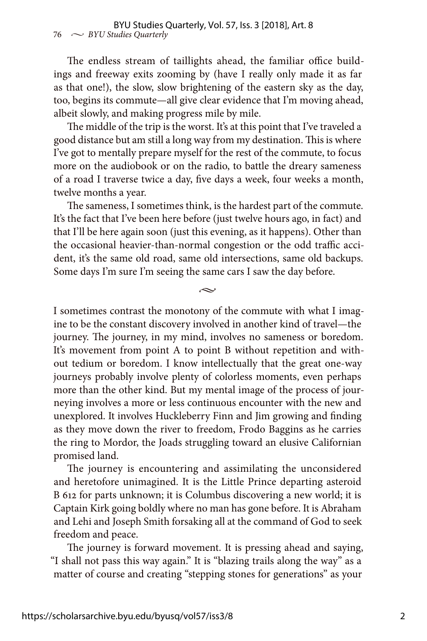The endless stream of taillights ahead, the familiar office buildings and freeway exits zooming by (have I really only made it as far as that one!), the slow, slow brightening of the eastern sky as the day, too, begins its commute—all give clear evidence that I'm moving ahead, albeit slowly, and making progress mile by mile.

The middle of the trip is the worst. It's at this point that I've traveled a good distance but am still a long way from my destination. This is where I've got to mentally prepare myself for the rest of the commute, to focus more on the audiobook or on the radio, to battle the dreary sameness of a road I traverse twice a day, five days a week, four weeks a month, twelve months a year.

The sameness, I sometimes think, is the hardest part of the commute. It's the fact that I've been here before (just twelve hours ago, in fact) and that I'll be here again soon (just this evening, as it happens). Other than the occasional heavier-than-normal congestion or the odd traffic accident, it's the same old road, same old intersections, same old backups. Some days I'm sure I'm seeing the same cars I saw the day before.

 $\sim$ 

I sometimes contrast the monotony of the commute with what I imagine to be the constant discovery involved in another kind of travel—the journey. The journey, in my mind, involves no sameness or boredom. It's movement from point A to point B without repetition and without tedium or boredom. I know intellectually that the great one-way journeys probably involve plenty of colorless moments, even perhaps more than the other kind. But my mental image of the process of journeying involves a more or less continuous encounter with the new and unexplored. It involves Huckleberry Finn and Jim growing and finding as they move down the river to freedom, Frodo Baggins as he carries the ring to Mordor, the Joads struggling toward an elusive Californian promised land.

The journey is encountering and assimilating the unconsidered and heretofore unimagined. It is the Little Prince departing asteroid B 612 for parts unknown; it is Columbus discovering a new world; it is Captain Kirk going boldly where no man has gone before. It is Abraham and Lehi and Joseph Smith forsaking all at the command of God to seek freedom and peace.

The journey is forward movement. It is pressing ahead and saying, "I shall not pass this way again." It is "blazing trails along the way" as a matter of course and creating "stepping stones for generations" as your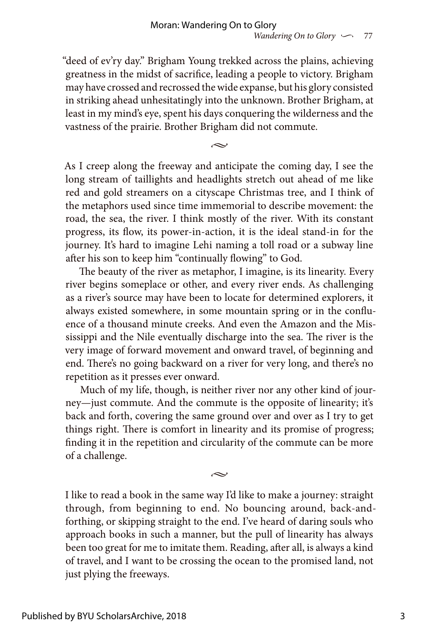"deed of ev'ry day." Brigham Young trekked across the plains, achieving greatness in the midst of sacrifice, leading a people to victory. Brigham may have crossed and recrossed the wide expanse, but his glory consisted in striking ahead unhesitatingly into the unknown. Brother Brigham, at least in my mind's eye, spent his days conquering the wilderness and the vastness of the prairie. Brother Brigham did not commute.

 $\sim$ 

As I creep along the freeway and anticipate the coming day, I see the long stream of taillights and headlights stretch out ahead of me like red and gold streamers on a cityscape Christmas tree, and I think of the metaphors used since time immemorial to describe movement: the road, the sea, the river. I think mostly of the river. With its constant progress, its flow, its power-in-action, it is the ideal stand-in for the journey. It's hard to imagine Lehi naming a toll road or a subway line after his son to keep him "continually flowing" to God.

The beauty of the river as metaphor, I imagine, is its linearity. Every river begins someplace or other, and every river ends. As challenging as a river's source may have been to locate for determined explorers, it always existed somewhere, in some mountain spring or in the confluence of a thousand minute creeks. And even the Amazon and the Mississippi and the Nile eventually discharge into the sea. The river is the very image of forward movement and onward travel, of beginning and end. There's no going backward on a river for very long, and there's no repetition as it presses ever onward.

Much of my life, though, is neither river nor any other kind of journey—just commute. And the commute is the opposite of linearity; it's back and forth, covering the same ground over and over as I try to get things right. There is comfort in linearity and its promise of progress; finding it in the repetition and circularity of the commute can be more of a challenge.

بحہ

I like to read a book in the same way I'd like to make a journey: straight through, from beginning to end. No bouncing around, back-andforthing, or skipping straight to the end. I've heard of daring souls who approach books in such a manner, but the pull of linearity has always been too great for me to imitate them. Reading, after all, is always a kind of travel, and I want to be crossing the ocean to the promised land, not just plying the freeways.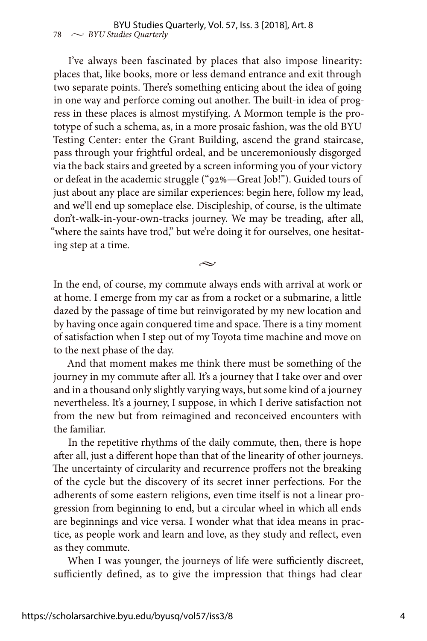I've always been fascinated by places that also impose linearity: places that, like books, more or less demand entrance and exit through two separate points. There's something enticing about the idea of going in one way and perforce coming out another. The built-in idea of progress in these places is almost mystifying. A Mormon temple is the prototype of such a schema, as, in a more prosaic fashion, was the old BYU Testing Center: enter the Grant Building, ascend the grand staircase, pass through your frightful ordeal, and be unceremoniously disgorged via the back stairs and greeted by a screen informing you of your victory or defeat in the academic struggle ("92%—Great Job!"). Guided tours of just about any place are similar experiences: begin here, follow my lead, and we'll end up someplace else. Discipleship, of course, is the ultimate don't-walk-in-your-own-tracks journey. We may be treading, after all, "where the saints have trod," but we're doing it for ourselves, one hesitating step at a time.

In the end, of course, my commute always ends with arrival at work or at home. I emerge from my car as from a rocket or a submarine, a little dazed by the passage of time but reinvigorated by my new location and by having once again conquered time and space. There is a tiny moment of satisfaction when I step out of my Toyota time machine and move on to the next phase of the day.

 $\sim$ 

And that moment makes me think there must be something of the journey in my commute after all. It's a journey that I take over and over and in a thousand only slightly varying ways, but some kind of a journey nevertheless. It's a journey, I suppose, in which I derive satisfaction not from the new but from reimagined and reconceived encounters with the familiar.

In the repetitive rhythms of the daily commute, then, there is hope after all, just a different hope than that of the linearity of other journeys. The uncertainty of circularity and recurrence proffers not the breaking of the cycle but the discovery of its secret inner perfections. For the adherents of some eastern religions, even time itself is not a linear progression from beginning to end, but a circular wheel in which all ends are beginnings and vice versa. I wonder what that idea means in practice, as people work and learn and love, as they study and reflect, even as they commute.

When I was younger, the journeys of life were sufficiently discreet, sufficiently defined, as to give the impression that things had clear